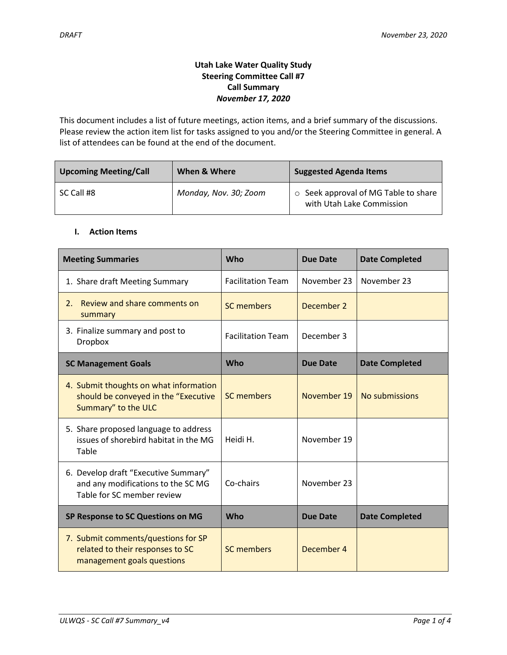# **Utah Lake Water Quality Study Steering Committee Call #7 Call Summary** *November 17, 2020*

This document includes a list of future meetings, action items, and a brief summary of the discussions. Please review the action item list for tasks assigned to you and/or the Steering Committee in general. A list of attendees can be found at the end of the document.

| <b>Upcoming Meeting/Call</b> | When & Where          | <b>Suggested Agenda Items</b>                                     |  |
|------------------------------|-----------------------|-------------------------------------------------------------------|--|
| SC Call #8                   | Monday, Nov. 30; Zoom | ○ Seek approval of MG Table to share<br>with Utah Lake Commission |  |

# **I. Action Items**

| <b>Meeting Summaries</b>                                                                                 | Who                      | <b>Due Date</b> | <b>Date Completed</b> |
|----------------------------------------------------------------------------------------------------------|--------------------------|-----------------|-----------------------|
| 1. Share draft Meeting Summary                                                                           | <b>Facilitation Team</b> | November 23     | November 23           |
| Review and share comments on<br>2.<br>summary                                                            | <b>SC members</b>        | December 2      |                       |
| 3. Finalize summary and post to<br><b>Dropbox</b>                                                        | <b>Facilitation Team</b> | December 3      |                       |
| <b>SC Management Goals</b>                                                                               | <b>Who</b>               | Due Date        | <b>Date Completed</b> |
| 4. Submit thoughts on what information<br>should be conveyed in the "Executive<br>Summary" to the ULC    | <b>SC members</b>        | November 19     | No submissions        |
| 5. Share proposed language to address<br>issues of shorebird habitat in the MG<br>Table                  | Heidi H.                 | November 19     |                       |
| 6. Develop draft "Executive Summary"<br>and any modifications to the SC MG<br>Table for SC member review | Co-chairs                | November 23     |                       |
| SP Response to SC Questions on MG                                                                        | Who                      | <b>Due Date</b> | <b>Date Completed</b> |
| 7. Submit comments/questions for SP<br>related to their responses to SC<br>management goals questions    | <b>SC members</b>        | December 4      |                       |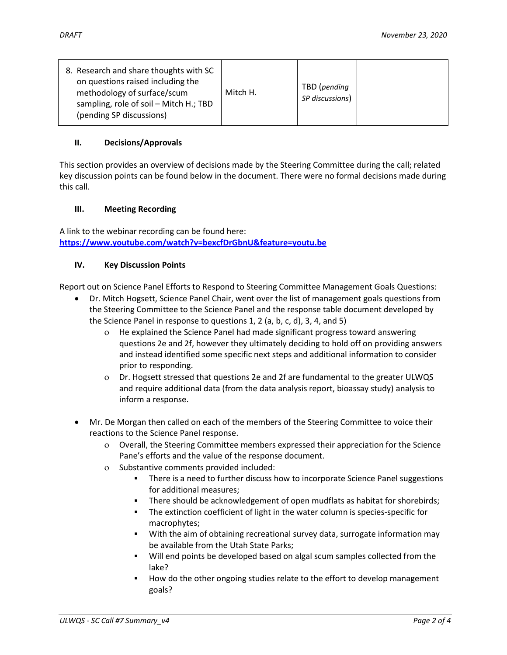| 8. Research and share thoughts with SC<br>on questions raised including the<br>methodology of surface/scum<br>sampling, role of soil - Mitch H.; TBD<br>(pending SP discussions) | Mitch H. | TBD (pending<br>SP discussions) |  |
|----------------------------------------------------------------------------------------------------------------------------------------------------------------------------------|----------|---------------------------------|--|
|----------------------------------------------------------------------------------------------------------------------------------------------------------------------------------|----------|---------------------------------|--|

## **II. Decisions/Approvals**

This section provides an overview of decisions made by the Steering Committee during the call; related key discussion points can be found below in the document. There were no formal decisions made during this call.

## **III. Meeting Recording**

A link to the webinar recording can be found here: **<https://www.youtube.com/watch?v=bexcfDrGbnU&feature=youtu.be>**

## **IV. Key Discussion Points**

Report out on Science Panel Efforts to Respond to Steering Committee Management Goals Questions:

- Dr. Mitch Hogsett, Science Panel Chair, went over the list of management goals questions from the Steering Committee to the Science Panel and the response table document developed by the Science Panel in response to questions 1, 2 (a, b, c, d), 3, 4, and 5)
	- He explained the Science Panel had made significant progress toward answering questions 2e and 2f, however they ultimately deciding to hold off on providing answers and instead identified some specific next steps and additional information to consider prior to responding.
	- Dr. Hogsett stressed that questions 2e and 2f are fundamental to the greater ULWQS and require additional data (from the data analysis report, bioassay study) analysis to inform a response.
- Mr. De Morgan then called on each of the members of the Steering Committee to voice their reactions to the Science Panel response.
	- Overall, the Steering Committee members expressed their appreciation for the Science Pane's efforts and the value of the response document.
	- Substantive comments provided included:
		- There is a need to further discuss how to incorporate Science Panel suggestions for additional measures;
		- There should be acknowledgement of open mudflats as habitat for shorebirds;
		- **The extinction coefficient of light in the water column is species-specific for** macrophytes;
		- With the aim of obtaining recreational survey data, surrogate information may be available from the Utah State Parks;
		- Will end points be developed based on algal scum samples collected from the lake?
		- How do the other ongoing studies relate to the effort to develop management goals?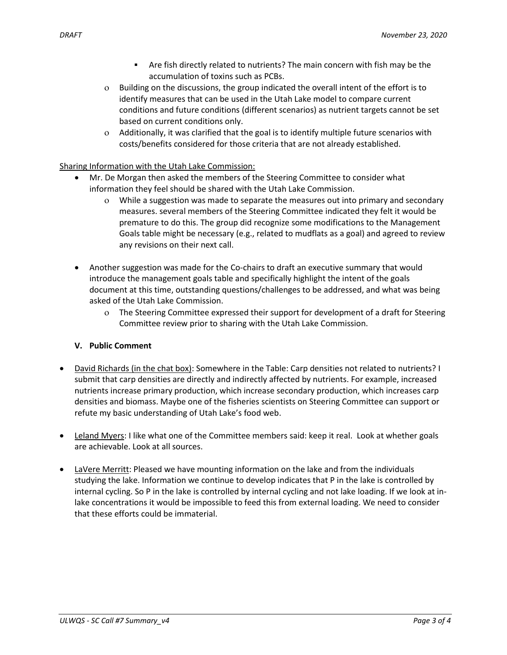- Are fish directly related to nutrients? The main concern with fish may be the accumulation of toxins such as PCBs.
- Building on the discussions, the group indicated the overall intent of the effort is to identify measures that can be used in the Utah Lake model to compare current conditions and future conditions (different scenarios) as nutrient targets cannot be set based on current conditions only.
- Additionally, it was clarified that the goal is to identify multiple future scenarios with costs/benefits considered for those criteria that are not already established.

# Sharing Information with the Utah Lake Commission:

- Mr. De Morgan then asked the members of the Steering Committee to consider what information they feel should be shared with the Utah Lake Commission.
	- While a suggestion was made to separate the measures out into primary and secondary measures. several members of the Steering Committee indicated they felt it would be premature to do this. The group did recognize some modifications to the Management Goals table might be necessary (e.g., related to mudflats as a goal) and agreed to review any revisions on their next call.
- Another suggestion was made for the Co-chairs to draft an executive summary that would introduce the management goals table and specifically highlight the intent of the goals document at this time, outstanding questions/challenges to be addressed, and what was being asked of the Utah Lake Commission.
	- The Steering Committee expressed their support for development of a draft for Steering Committee review prior to sharing with the Utah Lake Commission.

# **V. Public Comment**

- David Richards (in the chat box): Somewhere in the Table: Carp densities not related to nutrients? I submit that carp densities are directly and indirectly affected by nutrients. For example, increased nutrients increase primary production, which increase secondary production, which increases carp densities and biomass. Maybe one of the fisheries scientists on Steering Committee can support or refute my basic understanding of Utah Lake's food web.
- Leland Myers: I like what one of the Committee members said: keep it real. Look at whether goals are achievable. Look at all sources.
- LaVere Merritt: Pleased we have mounting information on the lake and from the individuals studying the lake. Information we continue to develop indicates that P in the lake is controlled by internal cycling. So P in the lake is controlled by internal cycling and not lake loading. If we look at inlake concentrations it would be impossible to feed this from external loading. We need to consider that these efforts could be immaterial.